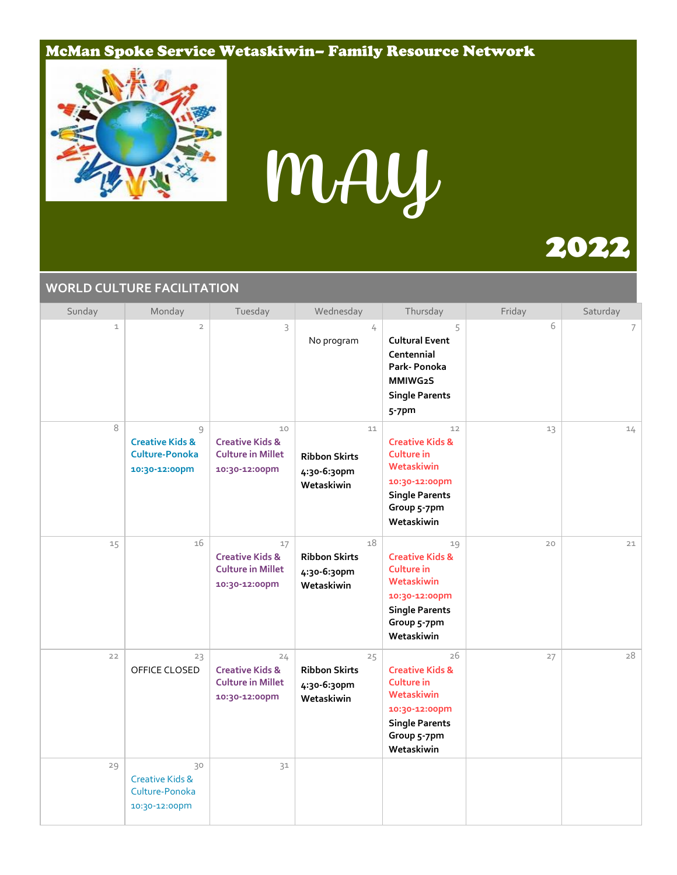#### McMan Spoke Service Wetaskiwin– Family Resource Network



# MAY

# 2022

#### **WORLD CULTURE FACILITATION**

| Sunday       | Monday                                                                    | Tuesday                                                                       | Wednesday                                               | Thursday                                                                                                                                   | Friday | Saturday |
|--------------|---------------------------------------------------------------------------|-------------------------------------------------------------------------------|---------------------------------------------------------|--------------------------------------------------------------------------------------------------------------------------------------------|--------|----------|
| $\mathbf{1}$ | $\overline{2}$                                                            | 3                                                                             | 4<br>No program                                         | 5<br><b>Cultural Event</b><br>Centennial<br>Park-Ponoka<br>MMIWG2S<br><b>Single Parents</b><br>5-7pm                                       | 6      | 7        |
| 8            | 9<br><b>Creative Kids &amp;</b><br><b>Culture-Ponoka</b><br>10:30-12:00pm | 10<br><b>Creative Kids &amp;</b><br><b>Culture in Millet</b><br>10:30-12:00pm | 11<br><b>Ribbon Skirts</b><br>4:30-6:30pm<br>Wetaskiwin | 12<br><b>Creative Kids &amp;</b><br>Culture in<br>Wetaskiwin<br>10:30-12:00pm<br><b>Single Parents</b><br>Group 5-7pm<br>Wetaskiwin        | 13     | 14       |
| 15           | 16                                                                        | 17<br><b>Creative Kids &amp;</b><br><b>Culture in Millet</b><br>10:30-12:00pm | 18<br><b>Ribbon Skirts</b><br>4:30-6:30pm<br>Wetaskiwin | 19<br><b>Creative Kids &amp;</b><br>Culture in<br>Wetaskiwin<br>10:30-12:00pm<br><b>Single Parents</b><br>Group 5-7pm<br>Wetaskiwin        | 20     | 21       |
| 22           | 23<br>OFFICE CLOSED                                                       | 24<br><b>Creative Kids &amp;</b><br><b>Culture in Millet</b><br>10:30-12:00pm | 25<br><b>Ribbon Skirts</b><br>4:30-6:30pm<br>Wetaskiwin | 26<br><b>Creative Kids &amp;</b><br><b>Culture in</b><br>Wetaskiwin<br>10:30-12:00pm<br><b>Single Parents</b><br>Group 5-7pm<br>Wetaskiwin | 27     | 28       |
| 29           | 30<br><b>Creative Kids &amp;</b><br>Culture-Ponoka<br>10:30-12:00pm       | 31                                                                            |                                                         |                                                                                                                                            |        |          |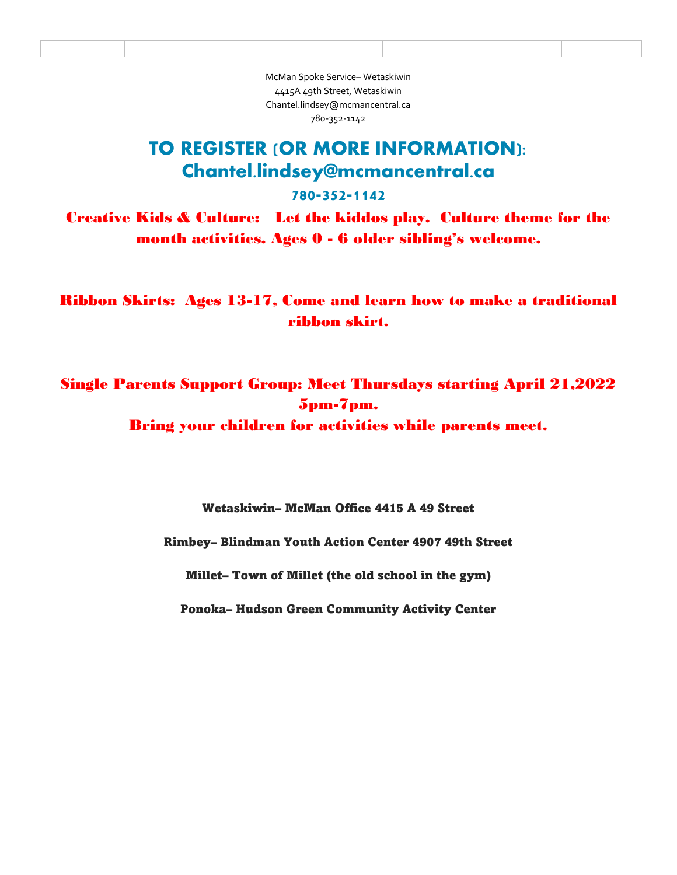McMan Spoke Service– Wetaskiwin 4415A 49th Street, Wetaskiwin Chantel.lindsey@mcmancentral.ca 780-352-1142

### TO REGISTER (OR MORE INFORMATION): Chantel.lindsey@mcmancentral.ca

#### 780-352-1142

Creative Kids & Culture: Let the kiddos play. Culture theme for the month activities. Ages 0 - 6 older sibling's welcome.

Ribbon Skirts: Ages 13-17, Come and learn how to make a traditional ribbon skirt.

Single Parents Support Group: Meet Thursdays starting April 21,2022 5pm-7pm.

Bring your children for activities while parents meet.

Wetaskiwin– McMan Office 4415 A 49 Street

Rimbey– Blindman Youth Action Center 4907 49th Street

Millet– Town of Millet (the old school in the gym)

Ponoka– Hudson Green Community Activity Center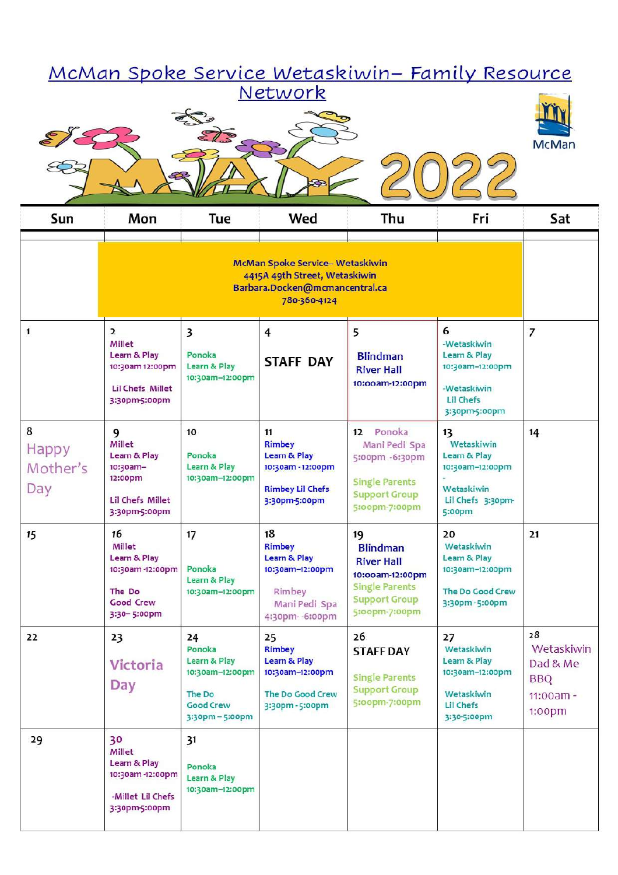| <u> McMan Spoke Service Wetaskiwin– Family Resource</u><br>Network |                                                                                                                   |                                                                                                  |                                                                                                      |                                                                                                                                  |                                                                                                         |                                                                        |
|--------------------------------------------------------------------|-------------------------------------------------------------------------------------------------------------------|--------------------------------------------------------------------------------------------------|------------------------------------------------------------------------------------------------------|----------------------------------------------------------------------------------------------------------------------------------|---------------------------------------------------------------------------------------------------------|------------------------------------------------------------------------|
|                                                                    |                                                                                                                   |                                                                                                  |                                                                                                      |                                                                                                                                  |                                                                                                         | <b>McMan</b>                                                           |
|                                                                    |                                                                                                                   |                                                                                                  |                                                                                                      |                                                                                                                                  |                                                                                                         |                                                                        |
| Sun                                                                | Mon                                                                                                               | Tue                                                                                              | Wed                                                                                                  | Thu                                                                                                                              | Fri                                                                                                     | Sat                                                                    |
|                                                                    | McMan Spoke Service-Wetaskiwin<br>4415A 49th Street, Wetaskiwin<br>Barbara.Docken@mcmancentral.ca<br>780-360-4124 |                                                                                                  |                                                                                                      |                                                                                                                                  |                                                                                                         |                                                                        |
| $\mathbf{1}$                                                       | $\overline{2}$<br>Millet<br>Learn & Play<br>10:30am 12:00pm<br><b>Lil Chefs Millet</b><br>3:30pm-5:00pm           | 3<br>Ponoka<br>Learn & Play<br>10:30am-12:00pm                                                   | $\overline{4}$<br><b>STAFF DAY</b>                                                                   | 5<br><b>Blindman</b><br><b>River Hall</b><br>10:00am-12:00pm                                                                     | 6<br>-Wetaskiwin<br>Learn & Play<br>10:30am-12:00pm<br>-Wetaskiwin<br><b>Lil Chefs</b><br>3:30pm-5:00pm | 7                                                                      |
| 8<br><b>Happy</b><br>Mother's<br>Day                               | 9<br>Millet<br>Learn & Play<br>10:30am-<br>12:00pm<br><b>Lil Chefs Millet</b><br>3:30pm-5:00pm                    | 10<br>Ponoka<br>Learn & Play<br>10:30am-12:00pm                                                  | 11<br><b>Rimbey</b><br>Learn & Play<br>10:30am - 12:00pm<br><b>Rimbey Lil Chefs</b><br>3:30pm-5:00pm | Ponoka<br>$12 \overline{ }$<br>Mani Pedi Spa<br>5:00pm -6:30pm<br><b>Single Parents</b><br><b>Support Group</b><br>5:00pm-7:00pm | 13<br>Wetaskiwin<br>Learn & Play<br>10:30am-12:00pm<br>Wetaskiwin<br>Lil Chefs 3:30pm-<br>5:00pm        | 14                                                                     |
| 15                                                                 | 16<br><b>Millet</b><br>Learn & Play<br>10:30am-12:00pm<br>The Do<br><b>Good Crew</b><br>3:30-5:00pm               | 17<br>Ponoka<br>Learn & Play<br>10:30am-12:00pm                                                  | 18<br><b>Rimbey</b><br>Learn & Play<br>10:30am-12:00pm<br>Rimbey<br>Mani Pedi Spa<br>4:30pm--6:00pm  | 19<br><b>Blindman</b><br><b>River Hall</b><br>10:00am-12:00pm<br><b>Single Parents</b><br><b>Support Group</b><br>5:00pm-7:00pm  | 20<br>Wetaskiwin<br>Learn & Play<br>10:30am-12:00pm<br>The Do Good Crew<br>3:30pm-5:00pm                | 21                                                                     |
| 22                                                                 | 23<br><b>Victoria</b><br><b>Day</b>                                                                               | 24<br>Ponoka<br>Learn & Play<br>10:30am-12:00pm<br>The Do<br><b>Good Crew</b><br>3:30pm - 5:00pm | 25<br><b>Rimbey</b><br>Learn & Play<br>10:30am-12:00pm<br>The Do Good Crew<br>3:30pm-5:00pm          | 26<br><b>STAFF DAY</b><br><b>Single Parents</b><br><b>Support Group</b><br>5:00pm-7:00pm                                         | 27<br>Wetaskiwin<br>Learn & Play<br>10:30am-12:00pm<br>Wetaskiwin<br><b>Lil Chefs</b><br>3:30-5:00pm    | 28<br>Wetaskiwin<br>Dad & Me<br><b>BBQ</b><br>$11:00am -$<br>$1:00$ pm |
| 29                                                                 | 30<br>Millet<br>Learn & Play<br>10:30am-12:00pm<br>-Millet Lil Chefs<br>3:30pm-5:00pm                             | 31<br>Ponoka<br><b>Learn &amp; Play</b><br>10:30am-12:00pm                                       |                                                                                                      |                                                                                                                                  |                                                                                                         |                                                                        |